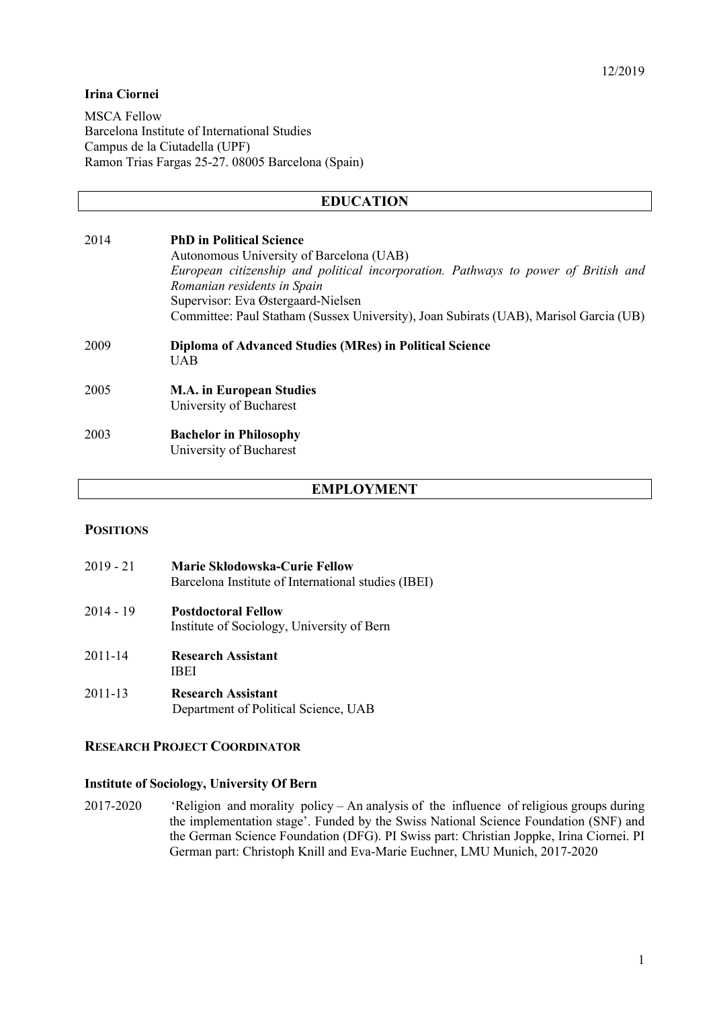### **Irina Ciornei**

MSCA Fellow Barcelona Institute of International Studies Campus de la Ciutadella (UPF) Ramon Trias Fargas 25-27. 08005 Barcelona (Spain)

# **EDUCATION**

| 2014 | <b>PhD</b> in Political Science<br>Autonomous University of Barcelona (UAB)<br>European citizenship and political incorporation. Pathways to power of British and<br>Romanian residents in Spain<br>Supervisor: Eva Østergaard-Nielsen<br>Committee: Paul Statham (Sussex University), Joan Subirats (UAB), Marisol Garcia (UB) |
|------|---------------------------------------------------------------------------------------------------------------------------------------------------------------------------------------------------------------------------------------------------------------------------------------------------------------------------------|
| 2009 | Diploma of Advanced Studies (MRes) in Political Science<br><b>UAB</b>                                                                                                                                                                                                                                                           |
| 2005 | <b>M.A.</b> in European Studies<br>University of Bucharest                                                                                                                                                                                                                                                                      |
| 2003 | <b>Bachelor in Philosophy</b><br>University of Bucharest                                                                                                                                                                                                                                                                        |

### **EMPLOYMENT**

#### **POSITIONS**

| $2019 - 21$ | Marie Skłodowska-Curie Fellow<br>Barcelona Institute of International studies (IBEI) |  |  |  |  |  |
|-------------|--------------------------------------------------------------------------------------|--|--|--|--|--|
| $2014 - 19$ | <b>Postdoctoral Fellow</b><br>Institute of Sociology, University of Bern             |  |  |  |  |  |
| $2011 - 14$ | <b>Research Assistant</b><br>IBEI                                                    |  |  |  |  |  |
| 2011-13     | <b>Research Assistant</b><br>Department of Political Science, UAB                    |  |  |  |  |  |

# **RESEARCH PROJECT COORDINATOR**

### **Institute of Sociology, University Of Bern**

2017-2020 'Religion and morality policy – An analysis of the influence of religious groups during the implementation stage'. Funded by the Swiss National Science Foundation (SNF) and the German Science Foundation (DFG). PI Swiss part: Christian Joppke, Irina Ciornei. PI German part: Christoph Knill and Eva-Marie Euchner, LMU Munich, 2017-2020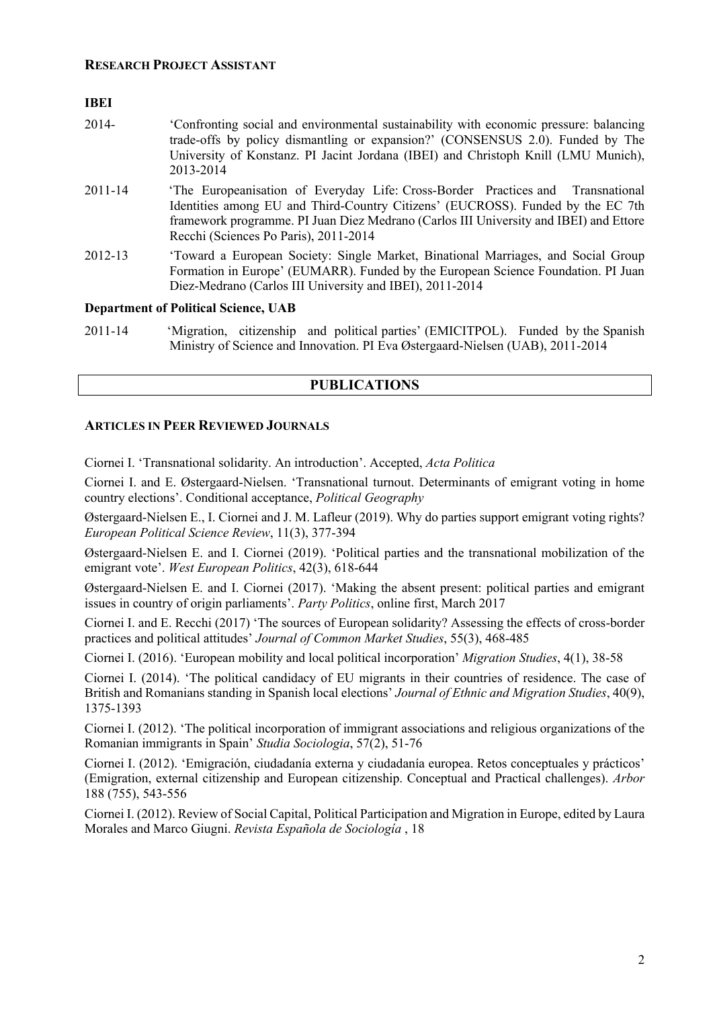#### **IBEI**

| 2014-   | Confronting social and environmental sustainability with economic pressure: balancing<br>trade-offs by policy dismantling or expansion?' (CONSENSUS 2.0). Funded by The<br>University of Konstanz. PI Jacint Jordana (IBEI) and Christoph Knill (LMU Munich),<br>2013-2014                          |
|---------|-----------------------------------------------------------------------------------------------------------------------------------------------------------------------------------------------------------------------------------------------------------------------------------------------------|
| 2011-14 | The Europeanisation of Everyday Life: Cross-Border Practices and Transnational<br>Identities among EU and Third-Country Citizens' (EUCROSS). Funded by the EC 7th<br>framework programme. PI Juan Diez Medrano (Carlos III University and IBEI) and Ettore<br>Recchi (Sciences Po Paris), 2011-2014 |
| 2012-13 | 'Toward a European Society: Single Market, Binational Marriages, and Social Group<br>Formation in Europe' (EUMARR). Funded by the European Science Foundation. PI Juan<br>Diez-Medrano (Carlos III University and IBEI), 2011-2014                                                                  |

## **Department of Political Science, UAB**

| 2011-14 |  |  | 'Migration, citizenship and political parties' (EMICITPOL). Funded by the Spanish |  |
|---------|--|--|-----------------------------------------------------------------------------------|--|
|         |  |  | Ministry of Science and Innovation. PI Eva Østergaard-Nielsen (UAB), 2011-2014    |  |

# **PUBLICATIONS**

# **ARTICLES IN PEER REVIEWED JOURNALS**

Ciornei I. 'Transnational solidarity. An introduction'. Accepted, *Acta Politica*

Ciornei I. and E. Østergaard-Nielsen. 'Transnational turnout. Determinants of emigrant voting in home country elections'. Conditional acceptance, *Political Geography*

Østergaard-Nielsen E., I. Ciornei and J. M. Lafleur (2019). Why do parties support emigrant voting rights? *European Political Science Review*, 11(3), 377-394

Østergaard-Nielsen E. and I. Ciornei (2019). 'Political parties and the transnational mobilization of the emigrant vote'. *West European Politics*, 42(3), 618-644

Østergaard-Nielsen E. and I. Ciornei (2017). 'Making the absent present: political parties and emigrant issues in country of origin parliaments'. *Party Politics*, online first, March 2017

Ciornei I. and E. Recchi (2017) 'The sources of European solidarity? Assessing the effects of cross-border practices and political attitudes' *Journal of Common Market Studies*, 55(3), 468-485

Ciornei I. (2016). 'European mobility and local political incorporation' *Migration Studies*, 4(1), 38-58

Ciornei I. (2014). 'The political candidacy of EU migrants in their countries of residence. The case of British and Romanians standing in Spanish local elections' *Journal of Ethnic and Migration Studies*, 40(9), 1375-1393

Ciornei I. (2012). 'The political incorporation of immigrant associations and religious organizations of the Romanian immigrants in Spain' *Studia Sociologia*, 57(2), 51-76

Ciornei I. (2012). 'Emigración, ciudadanía externa y ciudadanía europea. Retos conceptuales y prácticos' (Emigration, external citizenship and European citizenship. Conceptual and Practical challenges). *Arbor* 188 (755), 543-556

Ciornei I. (2012). Review of Social Capital, Political Participation and Migration in Europe, edited by Laura Morales and Marco Giugni. *Revista Española de Sociología* , 18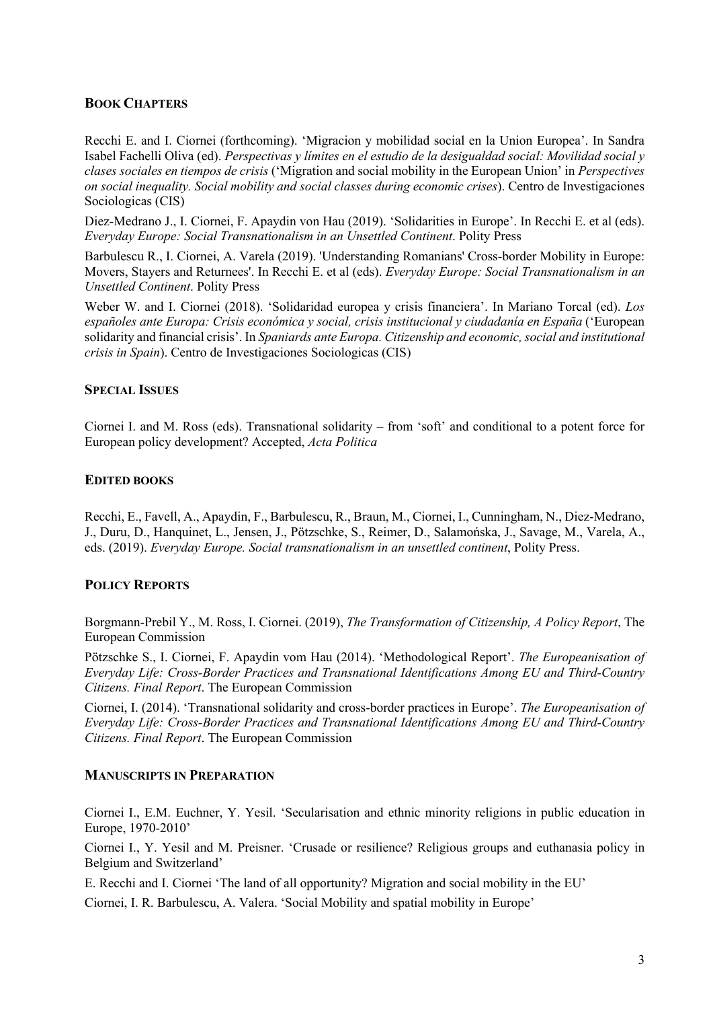# **BOOK CHAPTERS**

Recchi E. and I. Ciornei (forthcoming). 'Migracion y mobilidad social en la Union Europea'. In Sandra Isabel Fachelli Oliva (ed). *Perspectivas y límites en el estudio de la desigualdad social: Movilidad social y clases sociales en tiempos de crisis* ('Migration and social mobility in the European Union' in *Perspectives on social inequality. Social mobility and social classes during economic crises*). Centro de Investigaciones Sociologicas (CIS)

Diez-Medrano J., I. Ciornei, F. Apaydin von Hau (2019). 'Solidarities in Europe'. In Recchi E. et al (eds). *Everyday Europe: Social Transnationalism in an Unsettled Continent*. Polity Press

Barbulescu R., I. Ciornei, A. Varela (2019). 'Understanding Romanians' Cross-border Mobility in Europe: Movers, Stayers and Returnees'. In Recchi E. et al (eds). *Everyday Europe: Social Transnationalism in an Unsettled Continent*. Polity Press

Weber W. and I. Ciornei (2018). 'Solidaridad europea y crisis financiera'. In Mariano Torcal (ed). *Los españoles ante Europa: Crisis económica y social, crisis institucional y ciudadanía en España* ('European solidarity and financial crisis'. In *Spaniards ante Europa. Citizenship and economic, social and institutional crisis in Spain*). Centro de Investigaciones Sociologicas (CIS)

### **SPECIAL ISSUES**

Ciornei I. and M. Ross (eds). Transnational solidarity – from 'soft' and conditional to a potent force for European policy development? Accepted, *Acta Politica*

### **EDITED BOOKS**

Recchi, E., Favell, A., Apaydin, F., Barbulescu, R., Braun, M., Ciornei, I., Cunningham, N., Diez-Medrano, J., Duru, D., Hanquinet, L., Jensen, J., Pötzschke, S., Reimer, D., Salamońska, J., Savage, M., Varela, A., eds. (2019). *Everyday Europe. Social transnationalism in an unsettled continent*, Polity Press.

# **POLICY REPORTS**

Borgmann-Prebil Y., M. Ross, I. Ciornei. (2019), *The Transformation of Citizenship, A Policy Report*, The European Commission

Pötzschke S., I. Ciornei, F. Apaydin vom Hau (2014). 'Methodological Report'. *The Europeanisation of Everyday Life: Cross-Border Practices and Transnational Identifications Among EU and Third-Country Citizens. Final Report*. The European Commission

Ciornei, I. (2014). 'Transnational solidarity and cross-border practices in Europe'. *The Europeanisation of Everyday Life: Cross-Border Practices and Transnational Identifications Among EU and Third-Country Citizens. Final Report*. The European Commission

#### **MANUSCRIPTS IN PREPARATION**

Ciornei I., E.M. Euchner, Y. Yesil. 'Secularisation and ethnic minority religions in public education in Europe, 1970-2010'

Ciornei I., Y. Yesil and M. Preisner. 'Crusade or resilience? Religious groups and euthanasia policy in Belgium and Switzerland'

E. Recchi and I. Ciornei 'The land of all opportunity? Migration and social mobility in the EU'

Ciornei, I. R. Barbulescu, A. Valera. 'Social Mobility and spatial mobility in Europe'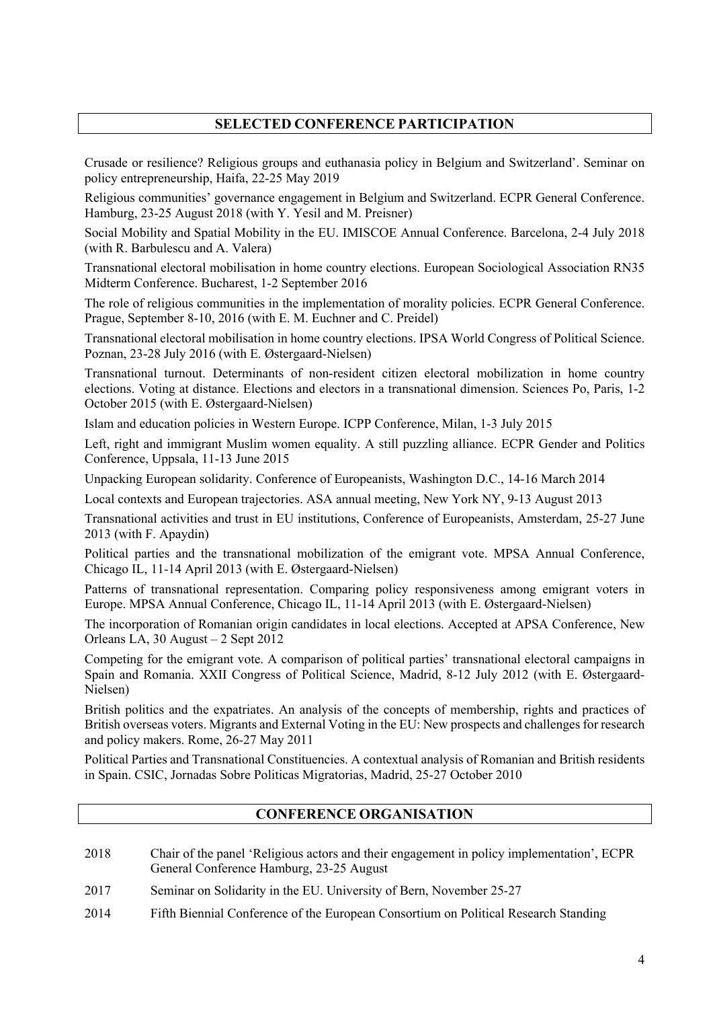# **SELECTED CONFERENCE PARTICIPATION**

Crusade or resilience? Religious groups and euthanasia policy in Belgium and Switzerland'. Seminar on policy entrepreneurship, Haifa, 22-25 May 2019

Religious communities' governance engagement in Belgium and Switzerland. ECPR General Conference. Hamburg, 23-25 August 2018 (with Y. Yesil and M. Preisner)

Social Mobility and Spatial Mobility in the EU. IMISCOE Annual Conference. Barcelona, 2-4 July 2018 (with R. Barbulescu and A. Valera)

Transnational electoral mobilisation in home country elections. European Sociological Association RN35 Midterm Conference. Bucharest, 1-2 September 2016

The role of religious communities in the implementation of morality policies. ECPR General Conference. Prague, September 8-10, 2016 (with E. M. Euchner and C. Preidel)

Transnational electoral mobilisation in home country elections. IPSA World Congress of Political Science. Poznan, 23-28 July 2016 (with E. Østergaard-Nielsen)

Transnational turnout. Determinants of non-resident citizen electoral mobilization in home country elections. Voting at distance. Elections and electors in a transnational dimension. Sciences Po, Paris, 1-2 October 2015 (with E. Østergaard-Nielsen)

Islam and education policies in Western Europe. ICPP Conference, Milan, 1-3 July 2015

Left, right and immigrant Muslim women equality. A still puzzling alliance. ECPR Gender and Politics Conference, Uppsala, 11-13 June 2015

Unpacking European solidarity. Conference of Europeanists, Washington D.C., 14-16 March 2014

Local contexts and European trajectories. ASA annual meeting, New York NY, 9-13 August 2013

Transnational activities and trust in EU institutions, Conference of Europeanists, Amsterdam, 25-27 June 2013 (with F. Apaydin)

Political parties and the transnational mobilization of the emigrant vote. MPSA Annual Conference, Chicago IL, 11-14 April 2013 (with E. Østergaard-Nielsen)

Patterns of transnational representation. Comparing policy responsiveness among emigrant voters in Europe. MPSA Annual Conference, Chicago IL, 11-14 April 2013 (with E. Østergaard-Nielsen)

The incorporation of Romanian origin candidates in local elections. Accepted at APSA Conference, New Orleans LA, 30 August – 2 Sept 2012

Competing for the emigrant vote. A comparison of political parties' transnational electoral campaigns in Spain and Romania. XXII Congress of Political Science, Madrid, 8-12 July 2012 (with E. Østergaard-Nielsen)

British politics and the expatriates. An analysis of the concepts of membership, rights and practices of British overseas voters. Migrants and External Voting in the EU: New prospects and challenges for research and policy makers. Rome, 26-27 May 2011

Political Parties and Transnational Constituencies. A contextual analysis of Romanian and British residents in Spain. CSIC, Jornadas Sobre Politicas Migratorias, Madrid, 25-27 October 2010

# **CONFERENCE ORGANISATION**

- 2018 Chair of the panel 'Religious actors and their engagement in policy implementation', ECPR General Conference Hamburg, 23-25 August
- 2017 Seminar on Solidarity in the EU. University of Bern, November 25-27
- 2014 Fifth Biennial Conference of the European Consortium on Political Research Standing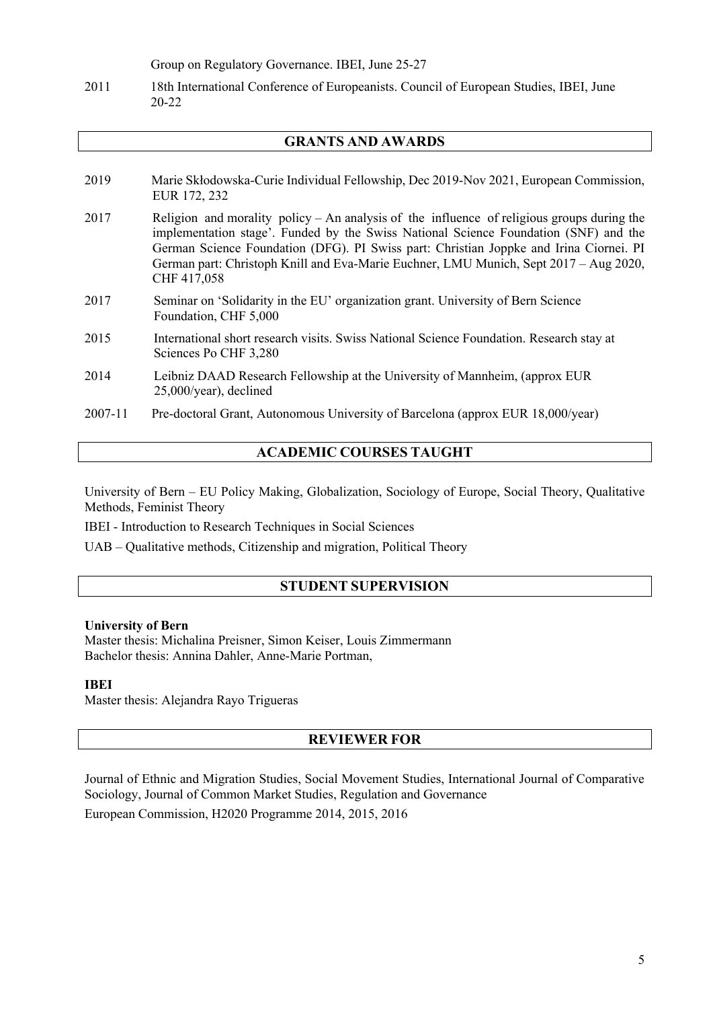Group on Regulatory Governance. IBEI, June 25-27

2011 18th International Conference of Europeanists. Council of European Studies, IBEI, June 20-22

# **GRANTS AND AWARDS**

- 2019 Marie Skłodowska-Curie Individual Fellowship, Dec 2019-Nov 2021, European Commission, EUR 172, 232
- 2017 Religion and morality policy An analysis of the influence of religious groups during the implementation stage'. Funded by the Swiss National Science Foundation (SNF) and the German Science Foundation (DFG). PI Swiss part: Christian Joppke and Irina Ciornei. PI German part: Christoph Knill and Eva-Marie Euchner, LMU Munich, Sept 2017 – Aug 2020, CHF 417,058
- 2017 Seminar on 'Solidarity in the EU' organization grant. University of Bern Science Foundation, CHF 5,000
- 2015 International short research visits. Swiss National Science Foundation. Research stay at Sciences Po CHF 3,280
- 2014 Leibniz DAAD Research Fellowship at the University of Mannheim, (approx EUR 25,000/year), declined
- 2007-11 Pre-doctoral Grant, Autonomous University of Barcelona (approx EUR 18,000/year)

# **ACADEMIC COURSES TAUGHT**

University of Bern – EU Policy Making, Globalization, Sociology of Europe, Social Theory, Qualitative Methods, Feminist Theory

IBEI - Introduction to Research Techniques in Social Sciences

UAB – Qualitative methods, Citizenship and migration, Political Theory

# **STUDENT SUPERVISION**

#### **University of Bern**

Master thesis: Michalina Preisner, Simon Keiser, Louis Zimmermann Bachelor thesis: Annina Dahler, Anne-Marie Portman,

#### **IBEI**

Master thesis: Alejandra Rayo Trigueras

#### **REVIEWER FOR**

Journal of Ethnic and Migration Studies, Social Movement Studies, International Journal of Comparative Sociology, Journal of Common Market Studies, Regulation and Governance

European Commission, H2020 Programme 2014, 2015, 2016